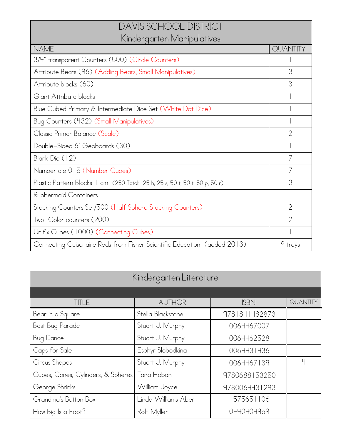## DAVIS SCHOOL DISTRICT Kindergarten Manipulatives

| $\frac{1}{2}$                                                               |                |  |  |
|-----------------------------------------------------------------------------|----------------|--|--|
| <b>NAME</b>                                                                 | QUANTITY       |  |  |
| 3/4" transparent Counters (500) (Circle Counters)                           |                |  |  |
| Attribute Bears (96) (Adding Bears, Small Manipulatives)                    | 3              |  |  |
| Attribute blocks (60)                                                       | 3              |  |  |
| Giant Attribute blocks                                                      |                |  |  |
| Blue Cubed Primary & Intermediate Dice Set (White Dot Dice)                 |                |  |  |
| Bug Counters (432) (Small Manipulatives)                                    |                |  |  |
| Classic Primer Balance (Scale)                                              | $\mathcal{P}$  |  |  |
| Double-Sided 6" Geoboards (30)                                              |                |  |  |
| Blank Die (12)                                                              |                |  |  |
| Number die 0-5 (Number Cubes)                                               |                |  |  |
| Plastic Pattern Blocks   cm (250 Total: 25 h, 25 s, 50 t, 50 t, 50 p, 50 r) | 3              |  |  |
| Rubbermaid Containers                                                       |                |  |  |
| Stacking Counters Set/500 (Half Sphere Stacking Counters)                   | $\overline{2}$ |  |  |
| Two-Color counters (200)                                                    | $\overline{2}$ |  |  |
| Unifix Cubes (1000) (Connecting Cubes)                                      |                |  |  |
| Connecting Cuisenaire Rods from Fisher Scientific Education (added 2013)    | 9 trays        |  |  |

| Kindergarten Literature            |                     |               |          |  |
|------------------------------------|---------------------|---------------|----------|--|
|                                    |                     |               |          |  |
| TITLE                              | <b>AUTHOR</b>       | <b>ISBN</b>   | QUANTITY |  |
| Bear in a Square                   | Stella Blackstone   | 9781841482873 |          |  |
| Best Bug Parade                    | Stuart J. Murphy    | 0064467007    |          |  |
| <b>Bug Dance</b>                   | Stuart J. Murphy    | 0064462528    |          |  |
| Caps for Sale                      | Esphyr Slobodkina   | 0064431436    |          |  |
| Circus Shapes                      | Stuart J. Murphy    | 0064467139    | 4        |  |
| Cubes, Cones, Cylinders, & Spheres | Tana Hoban          | 9780688153250 |          |  |
| George Shrinks                     | William Joyce       | 9780064431293 |          |  |
| Grandma's Button Box               | Linda Williams Aber | 1575651106    |          |  |
| How Big Is a Foot?                 | Rolf Myller         | 0440404959    |          |  |